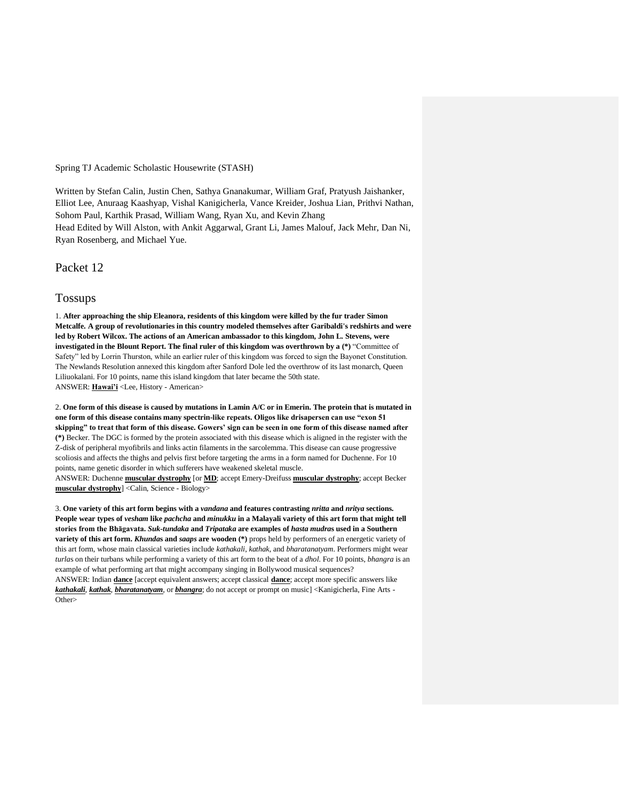Spring TJ Academic Scholastic Housewrite (STASH)

Written by Stefan Calin, Justin Chen, Sathya Gnanakumar, William Graf, Pratyush Jaishanker, Elliot Lee, Anuraag Kaashyap, Vishal Kanigicherla, Vance Kreider, Joshua Lian, Prithvi Nathan, Sohom Paul, Karthik Prasad, William Wang, Ryan Xu, and Kevin Zhang Head Edited by Will Alston, with Ankit Aggarwal, Grant Li, James Malouf, Jack Mehr, Dan Ni, Ryan Rosenberg, and Michael Yue.

Packet 12

## Tossups

1. **After approaching the ship Eleanora, residents of this kingdom were killed by the fur trader Simon Metcalfe. A group of revolutionaries in this country modeled themselves after Garibaldi's redshirts and were led by Robert Wilcox. The actions of an American ambassador to this kingdom, John L. Stevens, were investigated in the Blount Report. The final ruler of this kingdom was overthrown by a (\*)** "Committee of Safety" led by Lorrin Thurston, while an earlier ruler of this kingdom was forced to sign the Bayonet Constitution. The Newlands Resolution annexed this kingdom after Sanford Dole led the overthrow of its last monarch, Queen Liliuokalani. For 10 points, name this island kingdom that later became the 50th state. ANSWER: **Hawai'i** <Lee, History - American>

2. **One form of this disease is caused by mutations in Lamin A/C or in Emerin. The protein that is mutated in one form of this disease contains many spectrin-like repeats. Oligos like drisapersen can use "exon 51 skipping" to treat that form of this disease. Gowers' sign can be seen in one form of this disease named after (\*)** Becker. The DGC is formed by the protein associated with this disease which is aligned in the register with the Z-disk of peripheral myofibrils and links actin filaments in the sarcolemma. This disease can cause progressive scoliosis and affects the thighs and pelvis first before targeting the arms in a form named for Duchenne. For 10 points, name genetic disorder in which sufferers have weakened skeletal muscle.

ANSWER: Duchenne **muscular dystrophy** [or **MD**; accept Emery-Dreifuss **muscular dystrophy**; accept Becker **muscular dystrophy**] <Calin, Science - Biology>

3. **One variety of this art form begins with a** *vandana* **and features contrasting** *nritta* **and** *nritya* **sections. People wear types of** *vesham* **like** *pachcha* **and** *minukku* **in a Malayali variety of this art form that might tell stories from the Bhāgavata.** *Suk-tundaka* **and** *Tripataka* **are examples of** *hasta mudra***s used in a Southern variety of this art form.** *Khunda***s and** *saaps* **are wooden (\*)** props held by performers of an energetic variety of this art form, whose main classical varieties include *kathakali*, *kathak*, and *bharatanatyam*. Performers might wear *turla*s on their turbans while performing a variety of this art form to the beat of a *dhol*. For 10 points, *bhangra* is an example of what performing art that might accompany singing in Bollywood musical sequences? ANSWER: Indian **dance** [accept equivalent answers; accept classical **dance**; accept more specific answers like *kathakali*, *kathak*, *bharatanatyam*, or *bhangra*; do not accept or prompt on music] <Kanigicherla, Fine Arts - Other>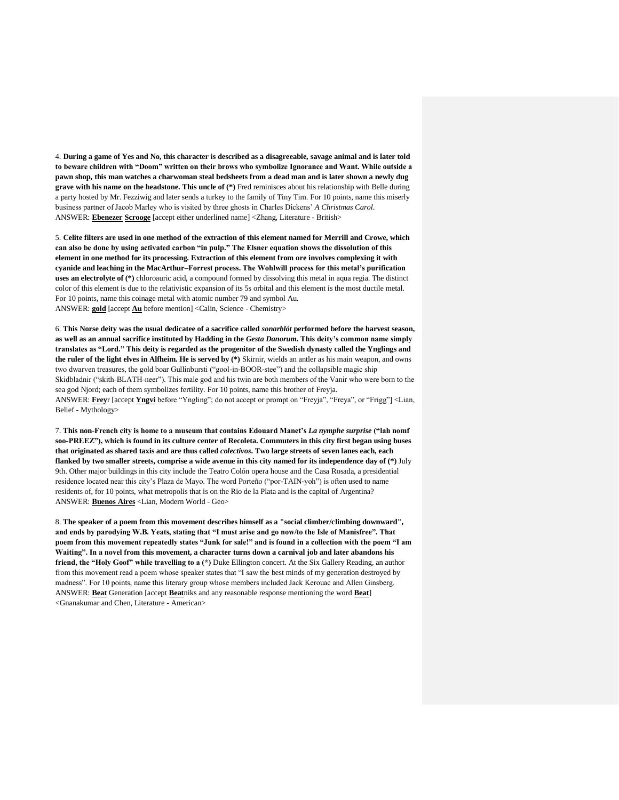4. **During a game of Yes and No, this character is described as a disagreeable, savage animal and is later told to beware children with "Doom" written on their brows who symbolize Ignorance and Want. While outside a pawn shop, this man watches a charwoman steal bedsheets from a dead man and is later shown a newly dug grave with his name on the headstone. This uncle of (\*)** Fred reminisces about his relationship with Belle during a party hosted by Mr. Fezziwig and later sends a turkey to the family of Tiny Tim. For 10 points, name this miserly business partner of Jacob Marley who is visited by three ghosts in Charles Dickens' *A Christmas Carol*. ANSWER: **Ebenezer Scrooge** [accept either underlined name] <Zhang, Literature - British>

5. **Celite filters are used in one method of the extraction of this element named for Merrill and Crowe, which can also be done by using activated carbon "in pulp." The Elsner equation shows the dissolution of this element in one method for its processing. Extraction of this element from ore involves complexing it with cyanide and leaching in the MacArthur–Forrest process. The Wohlwill process for this metal's purification uses an electrolyte of (\*)** chloroauric acid, a compound formed by dissolving this metal in aqua regia. The distinct color of this element is due to the relativistic expansion of its 5s orbital and this element is the most ductile metal. For 10 points, name this coinage metal with atomic number 79 and symbol Au. ANSWER: **gold** [accept **Au** before mention] <Calin, Science - Chemistry>

6. **This Norse deity was the usual dedicatee of a sacrifice called** *sonarblót* **performed before the harvest season, as well as an annual sacrifice instituted by Hadding in the** *Gesta Danorum***. This deity's common name simply translates as "Lord." This deity is regarded as the progenitor of the Swedish dynasty called the Ynglings and the ruler of the light elves in Alfheim. He is served by (\*)** Skirnir, wields an antler as his main weapon, and owns two dwarven treasures, the gold boar Gullinbursti ("gool-in-BOOR-stee") and the collapsible magic ship Skidbladnir ("skith-BLATH-neer"). This male god and his twin are both members of the Vanir who were born to the sea god Njord; each of them symbolizes fertility. For 10 points, name this brother of Freyja. ANSWER: **Frey**r [accept **Yngvi** before "Yngling"; do not accept or prompt on "Freyja", "Freya", or "Frigg"] <Lian, Belief - Mythology>

7. **This non-French city is home to a museum that contains Edouard Manet's** *La nymphe surprise* **("lah nomf soo-PREEZ"), which is found in its culture center of Recoleta. Commuters in this city first began using buses that originated as shared taxis and are thus called** *colectivos***. Two large streets of seven lanes each, each flanked by two smaller streets, comprise a wide avenue in this city named for its independence day of (\*)** July 9th. Other major buildings in this city include the Teatro Colón opera house and the Casa Rosada, a presidential residence located near this city's Plaza de Mayo. The word Porteño ("por-TAIN-yoh") is often used to name residents of, for 10 points, what metropolis that is on the Rio de la Plata and is the capital of Argentina? ANSWER: **Buenos Aires** <Lian, Modern World - Geo>

8. **The speaker of a poem from this movement describes himself as a "social climber/climbing downward", and ends by parodying W.B. Yeats, stating that "I must arise and go now/to the Isle of Manisfree". That poem from this movement repeatedly states "Junk for sale!" and is found in a collection with the poem "I am Waiting". In a novel from this movement, a character turns down a carnival job and later abandons his friend, the "Holy Goof" while travelling to a (\*)** Duke Ellington concert. At the Six Gallery Reading, an author from this movement read a poem whose speaker states that "I saw the best minds of my generation destroyed by madness". For 10 points, name this literary group whose members included Jack Kerouac and Allen Ginsberg. ANSWER: **Beat** Generation [accept **Beat**niks and any reasonable response mentioning the word **Beat**] <Gnanakumar and Chen, Literature - American>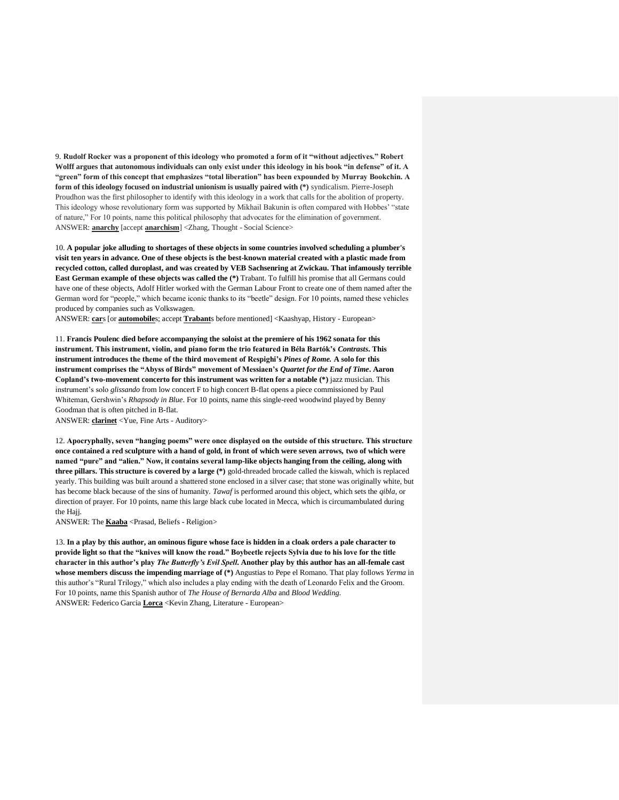9. **Rudolf Rocker was a proponent of this ideology who promoted a form of it "without adjectives." Robert Wolff argues that autonomous individuals can only exist under this ideology in his book "in defense" of it. A "green" form of this concept that emphasizes "total liberation" has been expounded by Murray Bookchin. A form of this ideology focused on industrial unionism is usually paired with (\*)** syndicalism. Pierre-Joseph Proudhon was the first philosopher to identify with this ideology in a work that calls for the abolition of property. This ideology whose revolutionary form was supported by Mikhail Bakunin is often compared with Hobbes' "state of nature," For 10 points, name this political philosophy that advocates for the elimination of government. ANSWER: **anarchy** [accept **anarchism**] <Zhang, Thought - Social Science>

10. **A popular joke alluding to shortages of these objects in some countries involved scheduling a plumber's visit ten years in advance. One of these objects is the best-known material created with a plastic made from recycled cotton, called duroplast, and was created by VEB Sachsenring at Zwickau. That infamously terrible East German example of these objects was called the (\*)** Trabant. To fulfill his promise that all Germans could have one of these objects, Adolf Hitler worked with the German Labour Front to create one of them named after the German word for "people," which became iconic thanks to its "beetle" design. For 10 points, named these vehicles produced by companies such as Volkswagen.

ANSWER: **car**s [or **automobile**s; accept **Trabant**s before mentioned] <Kaashyap, History - European>

11. **Francis Poulenc died before accompanying the soloist at the premiere of his 1962 sonata for this instrument. This instrument, violin, and piano form the trio featured in Béla Bartók's** *Contrasts***. This instrument introduces the theme of the third movement of Respighi's** *Pines of Rome.* **A solo for this instrument comprises the "Abyss of Birds" movement of Messiaen's** *Quartet for the End of Time***. Aaron Copland's two-movement concerto for this instrument was written for a notable (\*)** jazz musician. This instrument's solo *glissando* from low concert F to high concert B-flat opens a piece commissioned by Paul Whiteman, Gershwin's *Rhapsody in Blue*. For 10 points, name this single-reed woodwind played by Benny Goodman that is often pitched in B-flat.

ANSWER: **clarinet** <Yue, Fine Arts - Auditory>

12. **Apocryphally, seven "hanging poems" were once displayed on the outside of this structure. This structure once contained a red sculpture with a hand of gold, in front of which were seven arrows, two of which were named "pure" and "alien." Now, it contains several lamp-like objects hanging from the ceiling, along with three pillars. This structure is covered by a large (\*)** gold-threaded brocade called the kiswah, which is replaced yearly. This building was built around a shattered stone enclosed in a silver case; that stone was originally white, but has become black because of the sins of humanity. *Tawaf* is performed around this object, which sets the *qibla*, or direction of prayer. For 10 points, name this large black cube located in Mecca, which is circumambulated during the Haii.

ANSWER: The **Kaaba** <Prasad, Beliefs - Religion>

13. **In a play by this author, an ominous figure whose face is hidden in a cloak orders a pale character to provide light so that the "knives will know the road." Boybeetle rejects Sylvia due to his love for the title character in this author's play** *The Butterfly's Evil Spell***. Another play by this author has an all-female cast whose members discuss the impending marriage of (\*)** Angustias to Pepe el Romano. That play follows *Yerma* in this author's "Rural Trilogy," which also includes a play ending with the death of Leonardo Felix and the Groom. For 10 points, name this Spanish author of *The House of Bernarda Alba* and *Blood Wedding*. ANSWER: Federico Garcia **Lorca** <Kevin Zhang, Literature - European>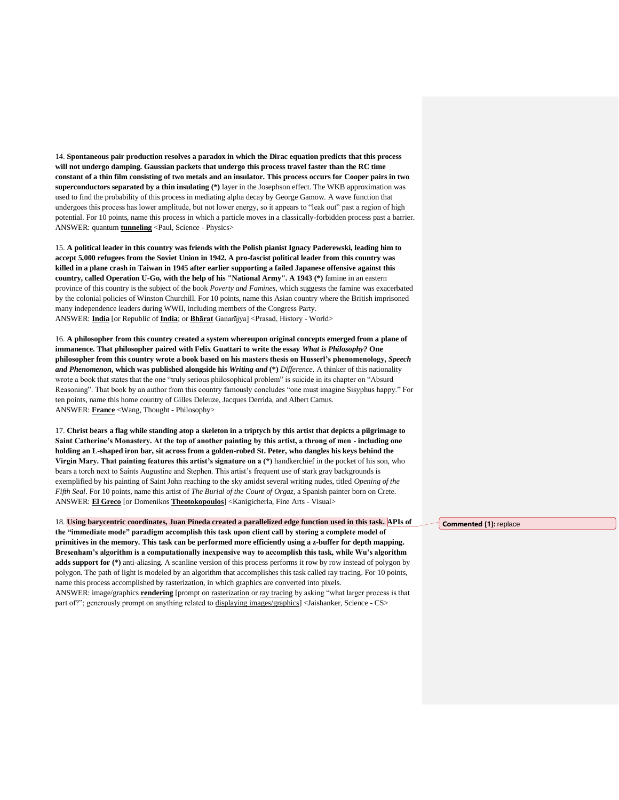14. **Spontaneous pair production resolves a paradox in which the Dirac equation predicts that this process will not undergo damping. Gaussian packets that undergo this process travel faster than the RC time constant of a thin film consisting of two metals and an insulator. This process occurs for Cooper pairs in two superconductors separated by a thin insulating (\*)** layer in the Josephson effect. The WKB approximation was used to find the probability of this process in mediating alpha decay by George Gamow. A wave function that undergoes this process has lower amplitude, but not lower energy, so it appears to "leak out" past a region of high potential. For 10 points, name this process in which a particle moves in a classically-forbidden process past a barrier. ANSWER: quantum **tunneling** <Paul, Science - Physics>

15. **A political leader in this country was friends with the Polish pianist Ignacy Paderewski, leading him to accept 5,000 refugees from the Soviet Union in 1942. A pro-fascist political leader from this country was killed in a plane crash in Taiwan in 1945 after earlier supporting a failed Japanese offensive against this country, called Operation U-Go, with the help of his "National Army". A 1943 (\*)** famine in an eastern province of this country is the subject of the book *Poverty and Famines*, which suggests the famine was exacerbated by the colonial policies of Winston Churchill. For 10 points, name this Asian country where the British imprisoned many independence leaders during WWII, including members of the Congress Party. ANSWER: **India** [or Republic of **India**; or **Bhārat** Gaṇarājya] <Prasad, History - World>

16. **A philosopher from this country created a system whereupon original concepts emerged from a plane of immanence. That philosopher paired with Felix Guattari to write the essay** *What is Philosophy?* **One philosopher from this country wrote a book based on his masters thesis on Husserl's phenomenology,** *Speech and Phenomenon***, which was published alongside his** *Writing and* **(\*)** *Difference*. A thinker of this nationality wrote a book that states that the one "truly serious philosophical problem" is suicide in its chapter on "Absurd Reasoning". That book by an author from this country famously concludes "one must imagine Sisyphus happy." For ten points, name this home country of Gilles Deleuze, Jacques Derrida, and Albert Camus. ANSWER: **France** <Wang, Thought - Philosophy>

17. **Christ bears a flag while standing atop a skeleton in a triptych by this artist that depicts a pilgrimage to Saint Catherine's Monastery. At the top of another painting by this artist, a throng of men - including one holding an L-shaped iron bar, sit across from a golden-robed St. Peter, who dangles his keys behind the Virgin Mary. That painting features this artist's signature on a (\*)** handkerchief in the pocket of his son, who bears a torch next to Saints Augustine and Stephen. This artist's frequent use of stark gray backgrounds is exemplified by his painting of Saint John reaching to the sky amidst several writing nudes, titled *Opening of the Fifth Seal*. For 10 points, name this artist of *The Burial of the Count of Orgaz*, a Spanish painter born on Crete. ANSWER: **El Greco** [or Domenikos **Theotokopoulos**] <Kanigicherla, Fine Arts - Visual>

18. **Using barycentric coordinates, Juan Pineda created a parallelized edge function used in this task. APIs of the "immediate mode" paradigm accomplish this task upon client call by storing a complete model of primitives in the memory. This task can be performed more efficiently using a z-buffer for depth mapping. Bresenham's algorithm is a computationally inexpensive way to accomplish this task, while Wu's algorithm adds support for (\*)** anti-aliasing. A scanline version of this process performs it row by row instead of polygon by polygon. The path of light is modeled by an algorithm that accomplishes this task called ray tracing. For 10 points, name this process accomplished by rasterization, in which graphics are converted into pixels. ANSWER: image/graphics **rendering** [prompt on rasterization or ray tracing by asking "what larger process is that part of?"; generously prompt on anything related to displaying images/graphics] <Jaishanker, Science - CS>

**Commented [1]:** replace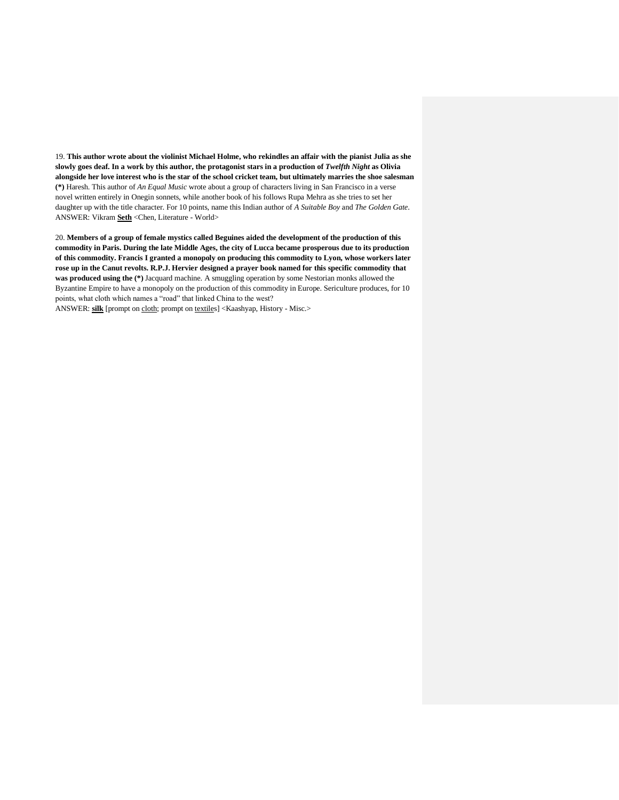19. **This author wrote about the violinist Michael Holme, who rekindles an affair with the pianist Julia as she slowly goes deaf. In a work by this author, the protagonist stars in a production of** *Twelfth Night* **as Olivia alongside her love interest who is the star of the school cricket team, but ultimately marries the shoe salesman (\*)** Haresh. This author of *An Equal Music* wrote about a group of characters living in San Francisco in a verse novel written entirely in Onegin sonnets, while another book of his follows Rupa Mehra as she tries to set her daughter up with the title character. For 10 points, name this Indian author of *A Suitable Boy* and *The Golden Gate*. ANSWER: Vikram **Seth** <Chen, Literature - World>

20. **Members of a group of female mystics called Beguines aided the development of the production of this commodity in Paris. During the late Middle Ages, the city of Lucca became prosperous due to its production of this commodity. Francis I granted a monopoly on producing this commodity to Lyon, whose workers later rose up in the Canut revolts. R.P.J. Hervier designed a prayer book named for this specific commodity that was produced using the (\*)** Jacquard machine. A smuggling operation by some Nestorian monks allowed the Byzantine Empire to have a monopoly on the production of this commodity in Europe. Sericulture produces, for 10 points, what cloth which names a "road" that linked China to the west?

ANSWER: **silk** [prompt on cloth; prompt on textiles] <Kaashyap, History - Misc.>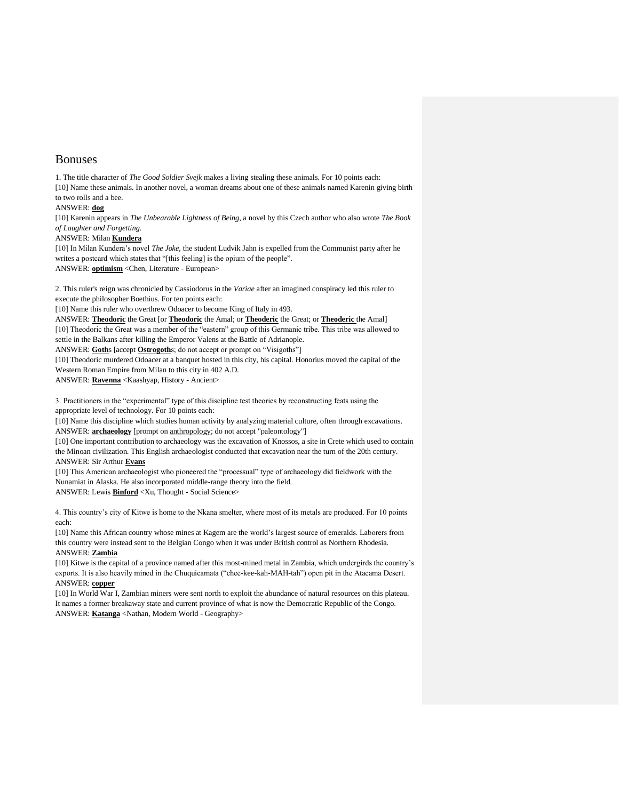# Bonuses

1. The title character of *The Good Soldier Svejk* makes a living stealing these animals. For 10 points each: [10] Name these animals. In another novel, a woman dreams about one of these animals named Karenin giving birth to two rolls and a bee.

## ANSWER: **dog**

[10] Karenin appears in *The Unbearable Lightness of Being,* a novel by this Czech author who also wrote *The Book of Laughter and Forgetting.*

#### ANSWER: Milan **Kundera**

[10] In Milan Kundera's novel *The Joke,* the student Ludvik Jahn is expelled from the Communist party after he writes a postcard which states that "[this feeling] is the opium of the people".

ANSWER: **optimism** <Chen, Literature - European>

2. This ruler's reign was chronicled by Cassiodorus in the *Variae* after an imagined conspiracy led this ruler to execute the philosopher Boethius. For ten points each:

[10] Name this ruler who overthrew Odoacer to become King of Italy in 493.

ANSWER: **Theodoric** the Great [or **Theodoric** the Amal; or **Theoderic** the Great; or **Theoderic** the Amal] [10] Theodoric the Great was a member of the "eastern" group of this Germanic tribe. This tribe was allowed to settle in the Balkans after killing the Emperor Valens at the Battle of Adrianople.

ANSWER: **Goth**s [accept **Ostrogoth**s; do not accept or prompt on "Visigoths"]

[10] Theodoric murdered Odoacer at a banquet hosted in this city, his capital. Honorius moved the capital of the Western Roman Empire from Milan to this city in 402 A.D.

ANSWER: **Ravenna** <Kaashyap, History - Ancient>

3. Practitioners in the "experimental" type of this discipline test theories by reconstructing feats using the appropriate level of technology. For 10 points each:

[10] Name this discipline which studies human activity by analyzing material culture, often through excavations. ANSWER: **archaeology** [prompt on anthropology; do not accept "paleontology"]

[10] One important contribution to archaeology was the excavation of Knossos, a site in Crete which used to contain the Minoan civilization. This English archaeologist conducted that excavation near the turn of the 20th century. ANSWER: Sir Arthur **Evans**

[10] This American archaeologist who pioneered the "processual" type of archaeology did fieldwork with the Nunamiat in Alaska. He also incorporated middle-range theory into the field. ANSWER: Lewis **Binford** <Xu, Thought - Social Science>

4. This country's city of Kitwe is home to the Nkana smelter, where most of its metals are produced. For 10 points each:

[10] Name this African country whose mines at Kagem are the world's largest source of emeralds. Laborers from this country were instead sent to the Belgian Congo when it was under British control as Northern Rhodesia. ANSWER: **Zambia**

[10] Kitwe is the capital of a province named after this most-mined metal in Zambia, which undergirds the country's exports. It is also heavily mined in the Chuquicamata ("chee-kee-kah-MAH-tah") open pit in the Atacama Desert. ANSWER: **copper**

[10] In World War I, Zambian miners were sent north to exploit the abundance of natural resources on this plateau. It names a former breakaway state and current province of what is now the Democratic Republic of the Congo. ANSWER: **Katanga** <Nathan, Modern World - Geography>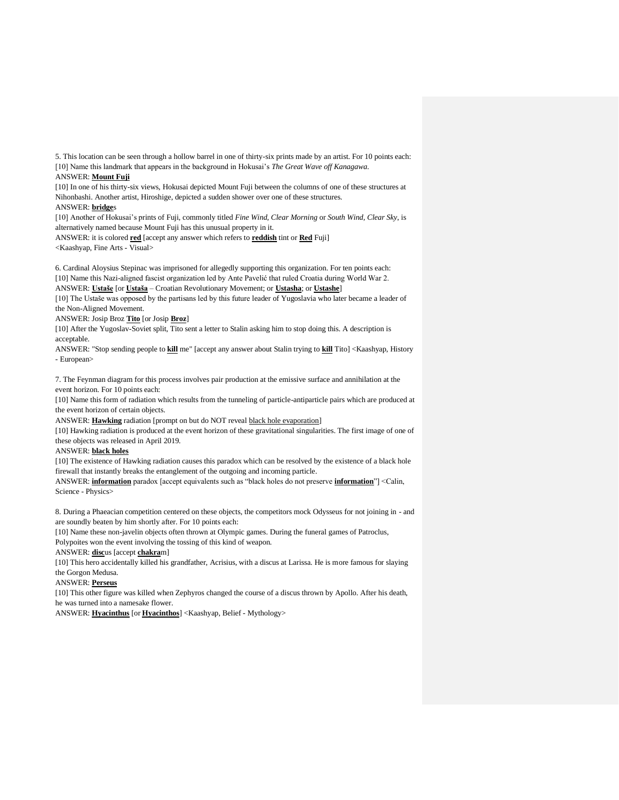5. This location can be seen through a hollow barrel in one of thirty-six prints made by an artist. For 10 points each: [10] Name this landmark that appears in the background in Hokusai's *The Great Wave off Kanagawa*.

### ANSWER: **Mount Fuji**

[10] In one of his thirty-six views, Hokusai depicted Mount Fuji between the columns of one of these structures at Nihonbashi. Another artist, Hiroshige, depicted a sudden shower over one of these structures.

ANSWER: **bridge**s

[10] Another of Hokusai's prints of Fuji, commonly titled *Fine Wind, Clear Morning* or *South Wind, Clear Sky*, is alternatively named because Mount Fuji has this unusual property in it.

ANSWER: it is colored **red** [accept any answer which refers to **reddish** tint or **Red** Fuji] <Kaashyap, Fine Arts - Visual>

6. Cardinal Aloysius Stepinac was imprisoned for allegedly supporting this organization. For ten points each: [10] Name this Nazi-aligned fascist organization led by Ante Pavelić that ruled Croatia during World War 2. ANSWER: **Ustaše** [or **Ustaša** – Croatian Revolutionary Movement; or **Ustasha**; or **Ustashe**]

[10] The Ustaše was opposed by the partisans led by this future leader of Yugoslavia who later became a leader of the Non-Aligned Movement.

ANSWER: Josip Broz **Tito** [or Josip **Broz**]

[10] After the Yugoslav-Soviet split, Tito sent a letter to Stalin asking him to stop doing this. A description is acceptable.

ANSWER: "Stop sending people to **kill** me" [accept any answer about Stalin trying to **kill** Tito] <Kaashyap, History - European>

7. The Feynman diagram for this process involves pair production at the emissive surface and annihilation at the event horizon. For 10 points each:

[10] Name this form of radiation which results from the tunneling of particle-antiparticle pairs which are produced at the event horizon of certain objects.

ANSWER: **Hawking** radiation [prompt on but do NOT reveal black hole evaporation]

[10] Hawking radiation is produced at the event horizon of these gravitational singularities. The first image of one of these objects was released in April 2019.

## ANSWER: **black holes**

[10] The existence of Hawking radiation causes this paradox which can be resolved by the existence of a black hole firewall that instantly breaks the entanglement of the outgoing and incoming particle.

ANSWER: **information** paradox [accept equivalents such as "black holes do not preserve **information**"] <Calin, Science - Physics>

8. During a Phaeacian competition centered on these objects, the competitors mock Odysseus for not joining in - and are soundly beaten by him shortly after. For 10 points each:

[10] Name these non-javelin objects often thrown at Olympic games. During the funeral games of Patroclus, Polypoites won the event involving the tossing of this kind of weapon.

ANSWER: **disc**us [accept **chakra**m]

[10] This hero accidentally killed his grandfather, Acrisius, with a discus at Larissa. He is more famous for slaying the Gorgon Medusa.

ANSWER: **Perseus**

[10] This other figure was killed when Zephyros changed the course of a discus thrown by Apollo. After his death, he was turned into a namesake flower.

ANSWER: **Hyacinthus** [or **Hyacinthos**] <Kaashyap, Belief - Mythology>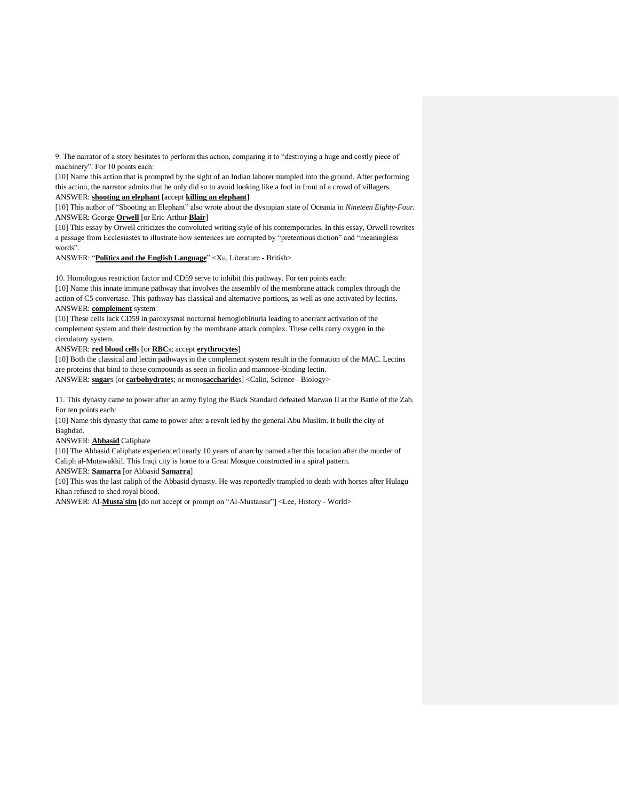9. The narrator of a story hesitates to perform this action, comparing it to "destroying a huge and costly piece of machinery". For 10 points each:

[10] Name this action that is prompted by the sight of an Indian laborer trampled into the ground. After performing this action, the narrator admits that he only did so to avoid looking like a fool in front of a crowd of villagers. ANSWER: **shooting an elephant** [accept **killing an elephant**]

[10] This author of "Shooting an Elephant" also wrote about the dystopian state of Oceania in *Nineteen Eighty-Four*. ANSWER: George **Orwell** [or Eric Arthur **Blair**]

[10] This essay by Orwell criticizes the convoluted writing style of his contemporaries. In this essay, Orwell rewrites a passage from Ecclesiastes to illustrate how sentences are corrupted by "pretentious diction" and "meaningless words".

ANSWER: "**Politics and the English Language**" <Xu, Literature - British>

10. Homologous restriction factor and CD59 serve to inhibit this pathway. For ten points each:

[10] Name this innate immune pathway that involves the assembly of the membrane attack complex through the action of C5 convertase. This pathway has classical and alternative portions, as well as one activated by lectins.

## ANSWER: **complement** system

[10] These cells lack CD59 in paroxysmal nocturnal hemoglobinuria leading to aberrant activation of the complement system and their destruction by the membrane attack complex. These cells carry oxygen in the circulatory system.

ANSWER: **red blood cell**s [or **RBC**s; accept **erythrocytes**]

[10] Both the classical and lectin pathways in the complement system result in the formation of the MAC. Lectins are proteins that bind to these compounds as seen in ficolin and mannose-binding lectin. ANSWER: **sugar**s [or **carbohydrate**s; or mono**saccharide**s] <Calin, Science - Biology>

11. This dynasty came to power after an army flying the Black Standard defeated Marwan II at the Battle of the Zab. For ten points each:

[10] Name this dynasty that came to power after a revolt led by the general Abu Muslim. It built the city of Baghdad.

ANSWER: **Abbasid** Caliphate

[10] The Abbasid Caliphate experienced nearly 10 years of anarchy named after this location after the murder of Caliph al-Mutawakkil. This Iraqi city is home to a Great Mosque constructed in a spiral pattern.

ANSWER: **Samarra** [or Abbasid **Samarra**]

[10] This was the last caliph of the Abbasid dynasty. He was reportedly trampled to death with horses after Hulagu Khan refused to shed royal blood.

ANSWER: Al-**Musta'sim** [do not accept or prompt on "Al-Mustansir"] <Lee, History - World>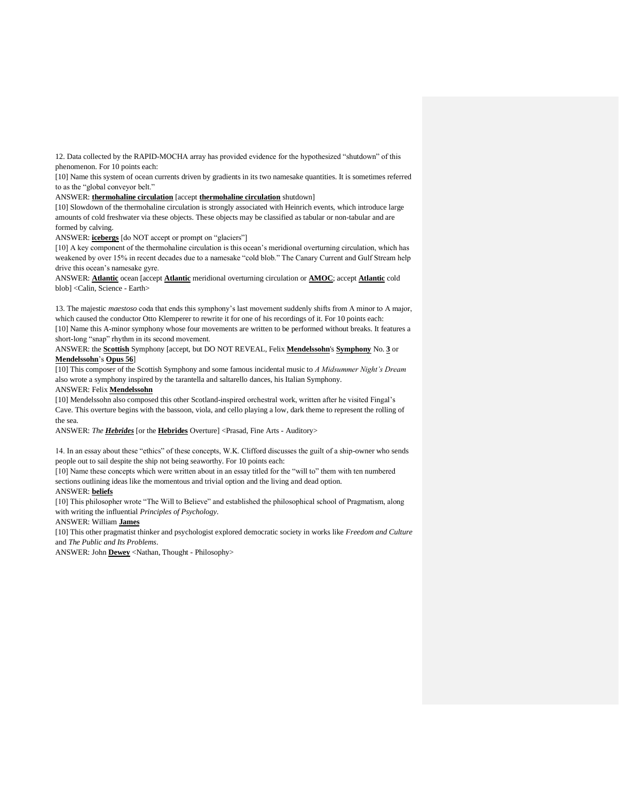12. Data collected by the RAPID-MOCHA array has provided evidence for the hypothesized "shutdown" of this phenomenon. For 10 points each:

[10] Name this system of ocean currents driven by gradients in its two namesake quantities. It is sometimes referred to as the "global conveyor belt."

#### ANSWER: **thermohaline circulation** [accept **thermohaline circulation** shutdown]

[10] Slowdown of the thermohaline circulation is strongly associated with Heinrich events, which introduce large amounts of cold freshwater via these objects. These objects may be classified as tabular or non-tabular and are formed by calving.

ANSWER: **icebergs** [do NOT accept or prompt on "glaciers"]

[10] A key component of the thermohaline circulation is this ocean's meridional overturning circulation, which has weakened by over 15% in recent decades due to a namesake "cold blob." The Canary Current and Gulf Stream help drive this ocean's namesake gyre.

ANSWER: **Atlantic** ocean [accept **Atlantic** meridional overturning circulation or **AMOC**; accept **Atlantic** cold blob] <Calin, Science - Earth>

13. The majestic *maestoso* coda that ends this symphony's last movement suddenly shifts from A minor to A major, which caused the conductor Otto Klemperer to rewrite it for one of his recordings of it. For 10 points each:

[10] Name this A-minor symphony whose four movements are written to be performed without breaks. It features a short-long "snap" rhythm in its second movement.

ANSWER: the **Scottish** Symphony [accept, but DO NOT REVEAL, Felix **Mendelssohn**'s **Symphony** No. **3** or **Mendelssohn**'s **Opus 56**]

[10] This composer of the Scottish Symphony and some famous incidental music to *A Midsummer Night's Dream* also wrote a symphony inspired by the tarantella and saltarello dances, his Italian Symphony.

# ANSWER: Felix **Mendelssohn**

[10] Mendelssohn also composed this other Scotland-inspired orchestral work, written after he visited Fingal's Cave. This overture begins with the bassoon, viola, and cello playing a low, dark theme to represent the rolling of the sea.

ANSWER: *The Hebrides* [or the **Hebrides** Overture] <Prasad, Fine Arts - Auditory>

14. In an essay about these "ethics" of these concepts, W.K. Clifford discusses the guilt of a ship-owner who sends people out to sail despite the ship not being seaworthy. For 10 points each:

[10] Name these concepts which were written about in an essay titled for the "will to" them with ten numbered sections outlining ideas like the momentous and trivial option and the living and dead option.

### ANSWER: **beliefs**

[10] This philosopher wrote "The Will to Believe" and established the philosophical school of Pragmatism, along with writing the influential *Principles of Psychology*.

### ANSWER: William **James**

[10] This other pragmatist thinker and psychologist explored democratic society in works like *Freedom and Culture*  and *The Public and Its Problems*.

ANSWER: John **Dewey** <Nathan, Thought - Philosophy>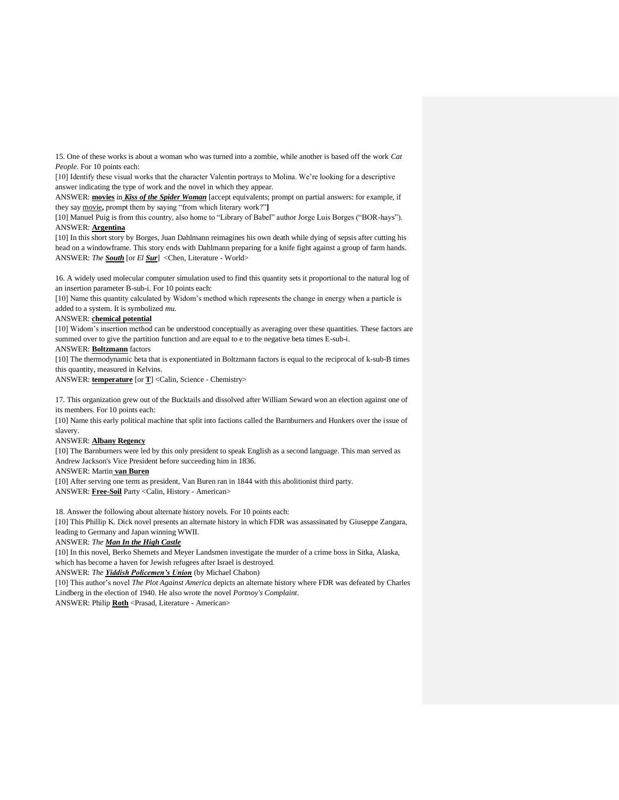15. One of these works is about a woman who was turned into a zombie, while another is based off the work *Cat People*. For 10 points each:

[10] Identify these visual works that the character Valentin portrays to Molina. We're looking for a descriptive answer indicating the type of work and the novel in which they appear.

ANSWER: **movies** in *Kiss of the Spider Woman* [accept equivalents; prompt on partial answers: for example, if they say movie**,** prompt them by saying "from which literary work?"**]**

[10] Manuel Puig is from this country, also home to "Library of Babel" author Jorge Luis Borges ("BOR-hays"). ANSWER: **Argentina**

[10] In this short story by Borges, Juan Dahlmann reimagines his own death while dying of sepsis after cutting his head on a windowframe. This story ends with Dahlmann preparing for a knife fight against a group of farm hands. ANSWER: *The South* [or *El Sur*] <Chen, Literature - World>

16. A widely used molecular computer simulation used to find this quantity sets it proportional to the natural log of an insertion parameter B-sub-i. For 10 points each:

[10] Name this quantity calculated by Widom's method which represents the change in energy when a particle is added to a system. It is symbolized *mu*.

### ANSWER: **chemical potential**

[10] Widom's insertion method can be understood conceptually as averaging over these quantities. These factors are summed over to give the partition function and are equal to e to the negative beta times E-sub-i.

ANSWER: **Boltzmann** factors

[10] The thermodynamic beta that is exponentiated in Boltzmann factors is equal to the reciprocal of k-sub-B times this quantity, measured in Kelvins.

ANSWER: **temperature** [or **T**] <Calin, Science - Chemistry>

17. This organization grew out of the Bucktails and dissolved after William Seward won an election against one of its members. For 10 points each:

[10] Name this early political machine that split into factions called the Barnburners and Hunkers over the issue of slavery.

### ANSWER: **Albany Regency**

[10] The Barnburners were led by this only president to speak English as a second language. This man served as Andrew Jackson's Vice President before succeeding him in 1836.

ANSWER: Martin **van Buren**

[10] After serving one term as president, Van Buren ran in 1844 with this abolitionist third party. ANSWER: **Free-Soil** Party <Calin, History - American>

18. Answer the following about alternate history novels. For 10 points each:

[10] This Phillip K. Dick novel presents an alternate history in which FDR was assassinated by Giuseppe Zangara, leading to Germany and Japan winning WWII.

## ANSWER: *The Man In the High Castle*

[10] In this novel, Berko Shemets and Meyer Landsmen investigate the murder of a crime boss in Sitka, Alaska, which has become a haven for Jewish refugees after Israel is destroyed.

## ANSWER: *The Yiddish Policemen's Union* (by Michael Chabon)

[10] This author's novel *The Plot Against America* depicts an alternate history where FDR was defeated by Charles Lindberg in the election of 1940. He also wrote the novel *Portnoy's Complaint*.

ANSWER: Philip **Roth** <Prasad, Literature - American>